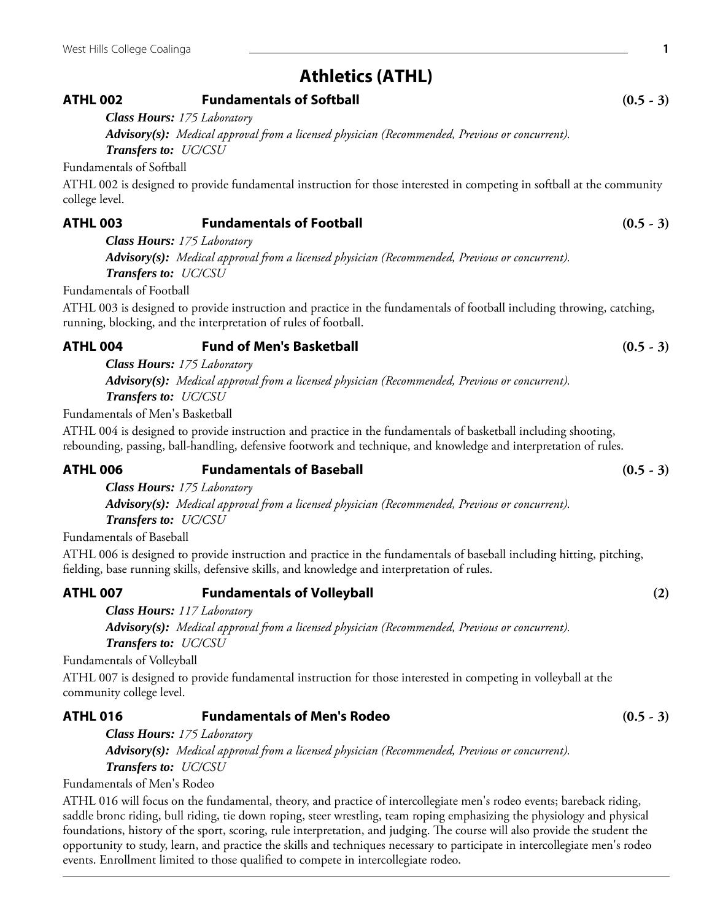# **Athletics (ATHL)**

## **ATHL 002 Fundamentals of Softball (0.5 - 3)**

*Class Hours: 175 Laboratory*

*Advisory(s): Medical approval from a licensed physician (Recommended, Previous or concurrent). Transfers to: UC/CSU*

Fundamentals of Softball

ATHL 002 is designed to provide fundamental instruction for those interested in competing in softball at the community college level.

## **ATHL 003 Fundamentals of Football (0.5 - 3)**

*Class Hours: 175 Laboratory*

*Advisory(s): Medical approval from a licensed physician (Recommended, Previous or concurrent). Transfers to: UC/CSU*

Fundamentals of Football

ATHL 003 is designed to provide instruction and practice in the fundamentals of football including throwing, catching, running, blocking, and the interpretation of rules of football.

## **ATHL 004 Fund of Men's Basketball (0.5 - 3)**

*Class Hours: 175 Laboratory Advisory(s): Medical approval from a licensed physician (Recommended, Previous or concurrent). Transfers to: UC/CSU*

Fundamentals of Men's Basketball

ATHL 004 is designed to provide instruction and practice in the fundamentals of basketball including shooting, rebounding, passing, ball-handling, defensive footwork and technique, and knowledge and interpretation of rules.

## **ATHL 006 Fundamentals of Baseball (0.5 - 3)**

*Class Hours: 175 Laboratory Advisory(s): Medical approval from a licensed physician (Recommended, Previous or concurrent).*

*Transfers to: UC/CSU*

Fundamentals of Baseball

ATHL 006 is designed to provide instruction and practice in the fundamentals of baseball including hitting, pitching, fielding, base running skills, defensive skills, and knowledge and interpretation of rules.

## **ATHL 007 Fundamentals of Volleyball (2)**

*Class Hours: 117 Laboratory Advisory(s): Medical approval from a licensed physician (Recommended, Previous or concurrent). Transfers to: UC/CSU*

Fundamentals of Volleyball

ATHL 007 is designed to provide fundamental instruction for those interested in competing in volleyball at the community college level.

## **ATHL 016 Fundamentals of Men's Rodeo (0.5 - 3)**

*Class Hours: 175 Laboratory Advisory(s): Medical approval from a licensed physician (Recommended, Previous or concurrent). Transfers to: UC/CSU*

Fundamentals of Men's Rodeo

ATHL 016 will focus on the fundamental, theory, and practice of intercollegiate men's rodeo events; bareback riding, saddle bronc riding, bull riding, tie down roping, steer wrestling, team roping emphasizing the physiology and physical foundations, history of the sport, scoring, rule interpretation, and judging. The course will also provide the student the opportunity to study, learn, and practice the skills and techniques necessary to participate in intercollegiate men's rodeo events. Enrollment limited to those qualified to compete in intercollegiate rodeo.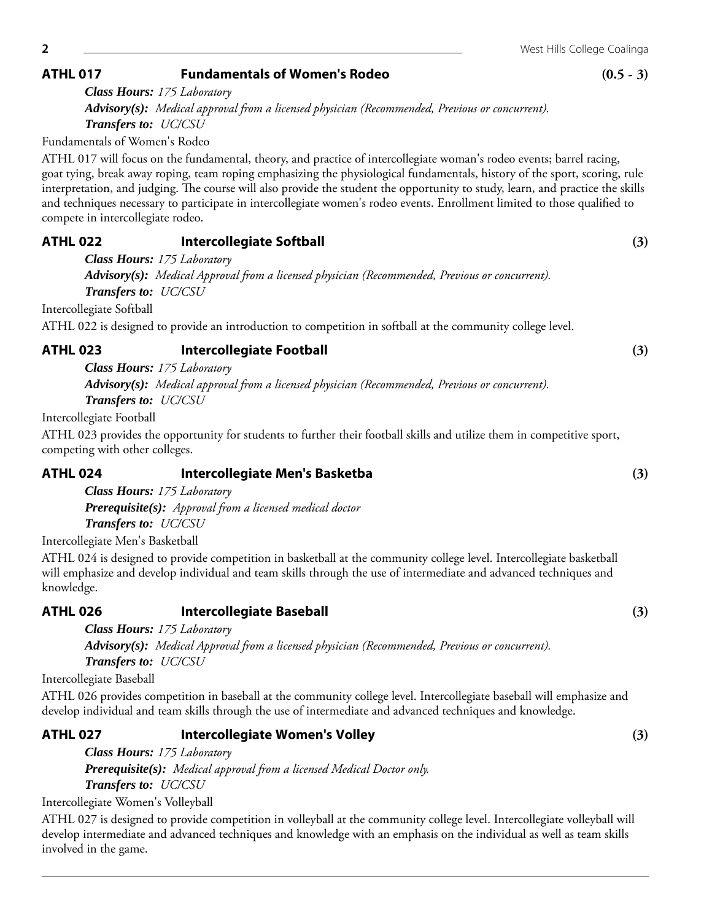Fundamentals of Women's Rodeo

*Transfers to: UC/CSU*

*Class Hours: 175 Laboratory*

ATHL 017 will focus on the fundamental, theory, and practice of intercollegiate woman's rodeo events; barrel racing, goat tying, break away roping, team roping emphasizing the physiological fundamentals, history of the sport, scoring, rule interpretation, and judging. The course will also provide the student the opportunity to study, learn, and practice the skills and techniques necessary to participate in intercollegiate women's rodeo events. Enrollment limited to those qualified to compete in intercollegiate rodeo.

## **ATHL 022 Intercollegiate Softball (3)**

*Class Hours: 175 Laboratory Advisory(s): Medical Approval from a licensed physician (Recommended, Previous or concurrent). Transfers to: UC/CSU*

Intercollegiate Softball

ATHL 022 is designed to provide an introduction to competition in softball at the community college level.

## **ATHL 023 Intercollegiate Football (3)**

*Class Hours: 175 Laboratory Advisory(s): Medical approval from a licensed physician (Recommended, Previous or concurrent). Transfers to: UC/CSU*

Intercollegiate Football

ATHL 023 provides the opportunity for students to further their football skills and utilize them in competitive sport, competing with other colleges.

## **ATHL 024 Intercollegiate Men's Basketba (3)**

*Class Hours: 175 Laboratory Prerequisite(s): Approval from a licensed medical doctor Transfers to: UC/CSU*

Intercollegiate Men's Basketball

ATHL 024 is designed to provide competition in basketball at the community college level. Intercollegiate basketball will emphasize and develop individual and team skills through the use of intermediate and advanced techniques and knowledge.

## **ATHL 026 Intercollegiate Baseball (3)**

*Class Hours: 175 Laboratory Advisory(s): Medical Approval from a licensed physician (Recommended, Previous or concurrent). Transfers to: UC/CSU*

Intercollegiate Baseball

ATHL 026 provides competition in baseball at the community college level. Intercollegiate baseball will emphasize and develop individual and team skills through the use of intermediate and advanced techniques and knowledge.

## **ATHL 027 Intercollegiate Women's Volley (3)**

*Class Hours: 175 Laboratory Prerequisite(s): Medical approval from a licensed Medical Doctor only. Transfers to: UC/CSU*

Intercollegiate Women's Volleyball

ATHL 027 is designed to provide competition in volleyball at the community college level. Intercollegiate volleyball will develop intermediate and advanced techniques and knowledge with an emphasis on the individual as well as team skills involved in the game.